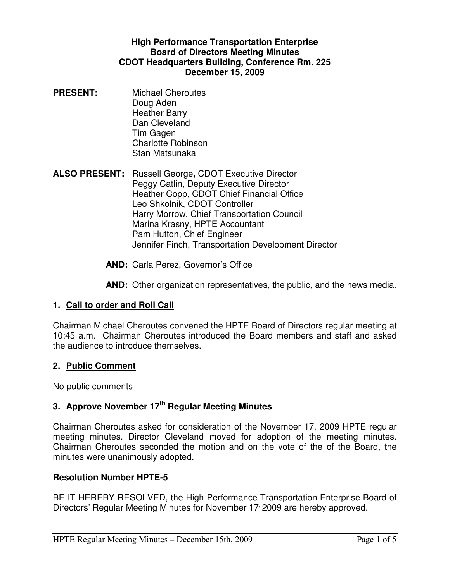### **High Performance Transportation Enterprise Board of Directors Meeting Minutes CDOT Headquarters Building, Conference Rm. 225 December 15, 2009**

- **PRESENT:** Michael Cheroutes Doug Aden Heather Barry Dan Cleveland Tim Gagen Charlotte Robinson Stan Matsunaka
- **ALSO PRESENT:** Russell George**,** CDOT Executive Director Peggy Catlin, Deputy Executive Director Heather Copp, CDOT Chief Financial Office Leo Shkolnik, CDOT Controller Harry Morrow, Chief Transportation Council Marina Krasny, HPTE Accountant Pam Hutton, Chief Engineer Jennifer Finch, Transportation Development Director
	- **AND:** Carla Perez, Governor's Office

**AND:** Other organization representatives, the public, and the news media.

# **1. Call to order and Roll Call**

Chairman Michael Cheroutes convened the HPTE Board of Directors regular meeting at 10:45 a.m. Chairman Cheroutes introduced the Board members and staff and asked the audience to introduce themselves.

#### **2. Public Comment**

No public comments

# **3. Approve November 17th Regular Meeting Minutes**

Chairman Cheroutes asked for consideration of the November 17, 2009 HPTE regular meeting minutes. Director Cleveland moved for adoption of the meeting minutes. Chairman Cheroutes seconded the motion and on the vote of the of the Board, the minutes were unanimously adopted.

#### **Resolution Number HPTE-5**

BE IT HEREBY RESOLVED, the High Performance Transportation Enterprise Board of Directors' Regular Meeting Minutes for November 17 2009 are hereby approved.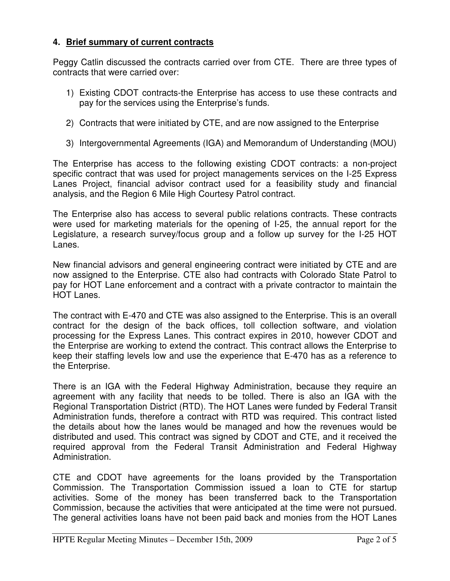# **4. Brief summary of current contracts**

Peggy Catlin discussed the contracts carried over from CTE. There are three types of contracts that were carried over:

- 1) Existing CDOT contracts-the Enterprise has access to use these contracts and pay for the services using the Enterprise's funds.
- 2) Contracts that were initiated by CTE, and are now assigned to the Enterprise
- 3) Intergovernmental Agreements (IGA) and Memorandum of Understanding (MOU)

The Enterprise has access to the following existing CDOT contracts: a non-project specific contract that was used for project managements services on the I-25 Express Lanes Project, financial advisor contract used for a feasibility study and financial analysis, and the Region 6 Mile High Courtesy Patrol contract.

The Enterprise also has access to several public relations contracts. These contracts were used for marketing materials for the opening of I-25, the annual report for the Legislature, a research survey/focus group and a follow up survey for the I-25 HOT Lanes.

New financial advisors and general engineering contract were initiated by CTE and are now assigned to the Enterprise. CTE also had contracts with Colorado State Patrol to pay for HOT Lane enforcement and a contract with a private contractor to maintain the HOT Lanes.

The contract with E-470 and CTE was also assigned to the Enterprise. This is an overall contract for the design of the back offices, toll collection software, and violation processing for the Express Lanes. This contract expires in 2010, however CDOT and the Enterprise are working to extend the contract. This contract allows the Enterprise to keep their staffing levels low and use the experience that E-470 has as a reference to the Enterprise.

There is an IGA with the Federal Highway Administration, because they require an agreement with any facility that needs to be tolled. There is also an IGA with the Regional Transportation District (RTD). The HOT Lanes were funded by Federal Transit Administration funds, therefore a contract with RTD was required. This contract listed the details about how the lanes would be managed and how the revenues would be distributed and used. This contract was signed by CDOT and CTE, and it received the required approval from the Federal Transit Administration and Federal Highway Administration.

CTE and CDOT have agreements for the loans provided by the Transportation Commission. The Transportation Commission issued a loan to CTE for startup activities. Some of the money has been transferred back to the Transportation Commission, because the activities that were anticipated at the time were not pursued. The general activities loans have not been paid back and monies from the HOT Lanes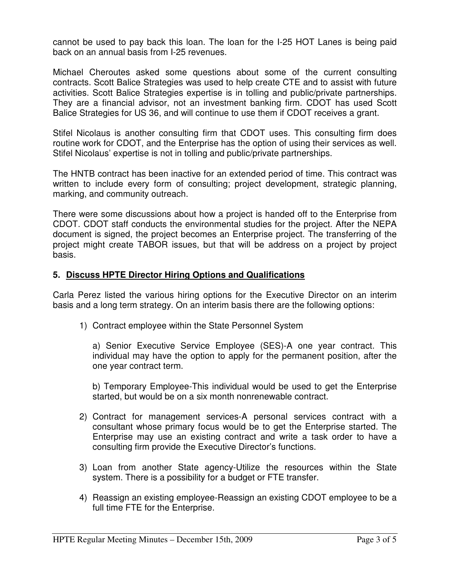cannot be used to pay back this loan. The loan for the I-25 HOT Lanes is being paid back on an annual basis from I-25 revenues.

Michael Cheroutes asked some questions about some of the current consulting contracts. Scott Balice Strategies was used to help create CTE and to assist with future activities. Scott Balice Strategies expertise is in tolling and public/private partnerships. They are a financial advisor, not an investment banking firm. CDOT has used Scott Balice Strategies for US 36, and will continue to use them if CDOT receives a grant.

Stifel Nicolaus is another consulting firm that CDOT uses. This consulting firm does routine work for CDOT, and the Enterprise has the option of using their services as well. Stifel Nicolaus' expertise is not in tolling and public/private partnerships.

The HNTB contract has been inactive for an extended period of time. This contract was written to include every form of consulting; project development, strategic planning, marking, and community outreach.

There were some discussions about how a project is handed off to the Enterprise from CDOT. CDOT staff conducts the environmental studies for the project. After the NEPA document is signed, the project becomes an Enterprise project. The transferring of the project might create TABOR issues, but that will be address on a project by project basis.

### **5. Discuss HPTE Director Hiring Options and Qualifications**

Carla Perez listed the various hiring options for the Executive Director on an interim basis and a long term strategy. On an interim basis there are the following options:

1) Contract employee within the State Personnel System

 a) Senior Executive Service Employee (SES)-A one year contract. This individual may have the option to apply for the permanent position, after the one year contract term.

 b) Temporary Employee-This individual would be used to get the Enterprise started, but would be on a six month nonrenewable contract.

- 2) Contract for management services-A personal services contract with a consultant whose primary focus would be to get the Enterprise started. The Enterprise may use an existing contract and write a task order to have a consulting firm provide the Executive Director's functions.
- 3) Loan from another State agency-Utilize the resources within the State system. There is a possibility for a budget or FTE transfer.
- 4) Reassign an existing employee-Reassign an existing CDOT employee to be a full time FTE for the Enterprise.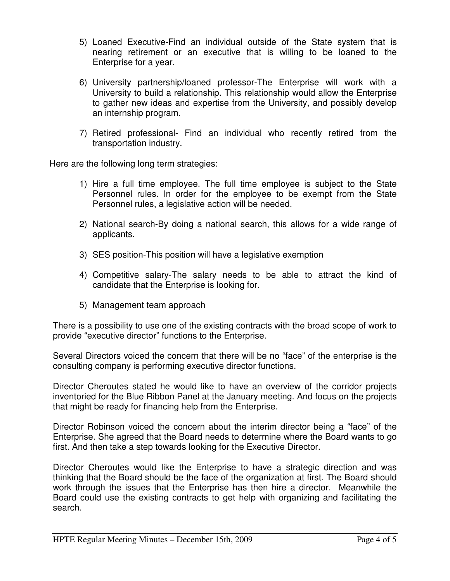- 5) Loaned Executive-Find an individual outside of the State system that is nearing retirement or an executive that is willing to be loaned to the Enterprise for a year.
- 6) University partnership/loaned professor-The Enterprise will work with a University to build a relationship. This relationship would allow the Enterprise to gather new ideas and expertise from the University, and possibly develop an internship program.
- 7) Retired professional- Find an individual who recently retired from the transportation industry.

Here are the following long term strategies:

- 1) Hire a full time employee. The full time employee is subject to the State Personnel rules. In order for the employee to be exempt from the State Personnel rules, a legislative action will be needed.
- 2) National search-By doing a national search, this allows for a wide range of applicants.
- 3) SES position-This position will have a legislative exemption
- 4) Competitive salary-The salary needs to be able to attract the kind of candidate that the Enterprise is looking for.
- 5) Management team approach

There is a possibility to use one of the existing contracts with the broad scope of work to provide "executive director" functions to the Enterprise.

Several Directors voiced the concern that there will be no "face" of the enterprise is the consulting company is performing executive director functions.

Director Cheroutes stated he would like to have an overview of the corridor projects inventoried for the Blue Ribbon Panel at the January meeting. And focus on the projects that might be ready for financing help from the Enterprise.

Director Robinson voiced the concern about the interim director being a "face" of the Enterprise. She agreed that the Board needs to determine where the Board wants to go first. And then take a step towards looking for the Executive Director.

Director Cheroutes would like the Enterprise to have a strategic direction and was thinking that the Board should be the face of the organization at first. The Board should work through the issues that the Enterprise has then hire a director. Meanwhile the Board could use the existing contracts to get help with organizing and facilitating the search.